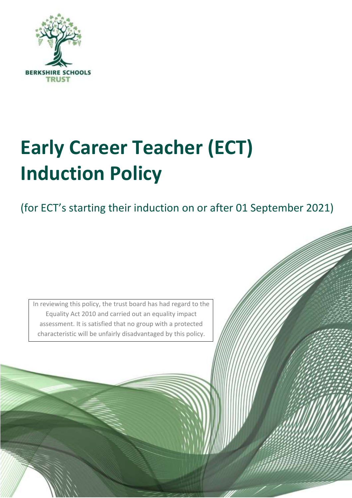

# **Early Career Teacher (ECT) Induction Policy**

(for ECT's starting their induction on or after 01 September 2021)

1

In reviewing this policy, the trust board has had regard to the Equality Act 2010 and carried out an equality impact assessment. It is satisfied that no group with a protected characteristic will be unfairly disadvantaged by this policy.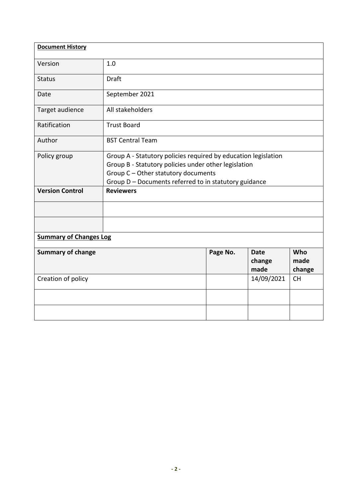| <b>Document History</b>       |                                                                                                                                                                                                                        |          |                               |                       |
|-------------------------------|------------------------------------------------------------------------------------------------------------------------------------------------------------------------------------------------------------------------|----------|-------------------------------|-----------------------|
| Version                       | 1.0                                                                                                                                                                                                                    |          |                               |                       |
| <b>Status</b>                 | <b>Draft</b>                                                                                                                                                                                                           |          |                               |                       |
| Date                          | September 2021                                                                                                                                                                                                         |          |                               |                       |
| Target audience               | All stakeholders                                                                                                                                                                                                       |          |                               |                       |
| Ratification                  | <b>Trust Board</b>                                                                                                                                                                                                     |          |                               |                       |
| Author                        | <b>BST Central Team</b>                                                                                                                                                                                                |          |                               |                       |
| Policy group                  | Group A - Statutory policies required by education legislation<br>Group B - Statutory policies under other legislation<br>Group C - Other statutory documents<br>Group D - Documents referred to in statutory guidance |          |                               |                       |
| <b>Version Control</b>        | <b>Reviewers</b>                                                                                                                                                                                                       |          |                               |                       |
|                               |                                                                                                                                                                                                                        |          |                               |                       |
|                               |                                                                                                                                                                                                                        |          |                               |                       |
| <b>Summary of Changes Log</b> |                                                                                                                                                                                                                        |          |                               |                       |
| <b>Summary of change</b>      |                                                                                                                                                                                                                        | Page No. | <b>Date</b><br>change<br>made | Who<br>made<br>change |
| Creation of policy            |                                                                                                                                                                                                                        |          | 14/09/2021                    | <b>CH</b>             |
|                               |                                                                                                                                                                                                                        |          |                               |                       |
|                               |                                                                                                                                                                                                                        |          |                               |                       |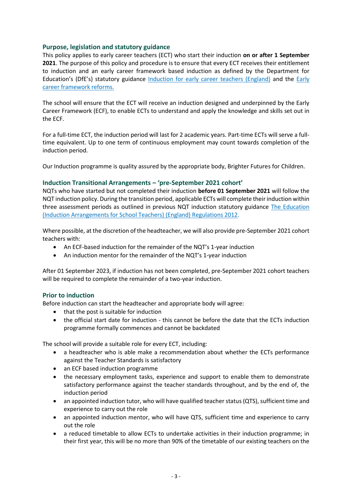#### **Purpose, legislation and statutory guidance**

This policy applies to early career teachers (ECT) who start their induction **on or after 1 September 2021**. The purpose of this policy and procedure is to ensure that every ECT receives their entitlement to induction and an early career framework based induction as defined by the Department for Education's (DfE's) statutory guidance [Induction for early career teachers \(England\)](https://www.gov.uk/government/publications/induction-for-early-career-teachers-england) and the [Early](https://www.gov.uk/government/collections/early-career-framework-reforms)  [career framework reforms.](https://www.gov.uk/government/collections/early-career-framework-reforms)

The school will ensure that the ECT will receive an induction designed and underpinned by the Early Career Framework (ECF), to enable ECTs to understand and apply the knowledge and skills set out in the ECF.

For a full-time ECT, the induction period will last for 2 academic years. Part-time ECTs will serve a fulltime equivalent. Up to one term of continuous employment may count towards completion of the induction period.

Our Induction programme is quality assured by the appropriate body, Brighter Futures for Children.

#### **Induction Transitional Arrangements – 'pre-September 2021 cohort'**

NQTs who have started but not completed their induction **before 01 September 2021** will follow the NQT induction policy. During the transition period, applicable ECTs will complete their induction within three assessment periods as outlined in previous NQT induction statutory guidance [The Education](http://www.legislation.gov.uk/uksi/2012/1115/contents/made)  [\(Induction Arrangements for School Teachers\) \(England\) Regulations 2012.](http://www.legislation.gov.uk/uksi/2012/1115/contents/made)

Where possible, at the discretion of the headteacher, we will also provide pre-September 2021 cohort teachers with:

- An ECF-based induction for the remainder of the NQT's 1-year induction
- An induction mentor for the remainder of the NQT's 1-year induction

After 01 September 2023, if induction has not been completed, pre-September 2021 cohort teachers will be required to complete the remainder of a two-year induction.

## **Prior to induction**

Before induction can start the headteacher and appropriate body will agree:

- that the post is suitable for induction
- the official start date for induction this cannot be before the date that the ECTs induction programme formally commences and cannot be backdated

The school will provide a suitable role for every ECT, including:

- a headteacher who is able make a recommendation about whether the ECTs performance against the Teacher Standards is satisfactory
- an ECF based induction programme
- the necessary employment tasks, experience and support to enable them to demonstrate satisfactory performance against the teacher standards throughout, and by the end of, the induction period
- an appointed induction tutor, who will have qualified teacher status (QTS), sufficient time and experience to carry out the role
- an appointed induction mentor, who will have QTS, sufficient time and experience to carry out the role
- a reduced timetable to allow ECTs to undertake activities in their induction programme; in their first year, this will be no more than 90% of the timetable of our existing teachers on the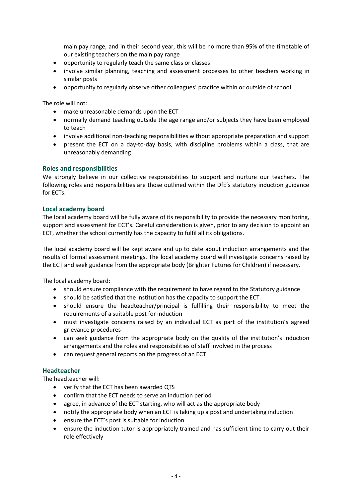main pay range, and in their second year, this will be no more than 95% of the timetable of our existing teachers on the main pay range

- opportunity to regularly teach the same class or classes
- involve similar planning, teaching and assessment processes to other teachers working in similar posts
- opportunity to regularly observe other colleagues' practice within or outside of school

The role will not:

- make unreasonable demands upon the ECT
- normally demand teaching outside the age range and/or subjects they have been employed to teach
- involve additional non-teaching responsibilities without appropriate preparation and support
- present the ECT on a day-to-day basis, with discipline problems within a class, that are unreasonably demanding

#### **Roles and responsibilities**

We strongly believe in our collective responsibilities to support and nurture our teachers. The following roles and responsibilities are those outlined within the DfE's statutory induction guidance for ECTs.

#### **Local academy board**

The local academy board will be fully aware of its responsibility to provide the necessary monitoring, support and assessment for ECT's. Careful consideration is given, prior to any decision to appoint an ECT, whether the school currently has the capacity to fulfil all its obligations.

The local academy board will be kept aware and up to date about induction arrangements and the results of formal assessment meetings. The local academy board will investigate concerns raised by the ECT and seek guidance from the appropriate body (Brighter Futures for Children) if necessary.

The local academy board:

- should ensure compliance with the requirement to have regard to the Statutory guidance
- should be satisfied that the institution has the capacity to support the ECT
- should ensure the headteacher/principal is fulfilling their responsibility to meet the requirements of a suitable post for induction
- must investigate concerns raised by an individual ECT as part of the institution's agreed grievance procedures
- can seek guidance from the appropriate body on the quality of the institution's induction arrangements and the roles and responsibilities of staff involved in the process
- can request general reports on the progress of an ECT

#### **Headteacher**

The headteacher will:

- verify that the ECT has been awarded QTS
- confirm that the ECT needs to serve an induction period
- agree, in advance of the ECT starting, who will act as the appropriate body
- notify the appropriate body when an ECT is taking up a post and undertaking induction
- ensure the ECT's post is suitable for induction
- ensure the induction tutor is appropriately trained and has sufficient time to carry out their role effectively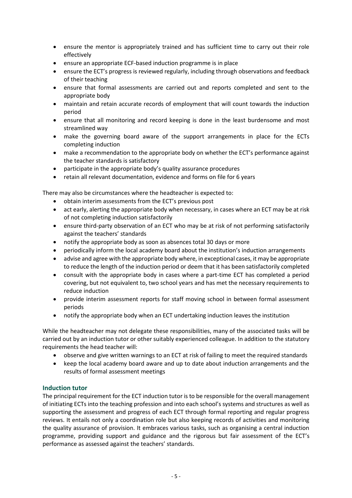- ensure the mentor is appropriately trained and has sufficient time to carry out their role effectively
- ensure an appropriate ECF-based induction programme is in place
- ensure the ECT's progress is reviewed regularly, including through observations and feedback of their teaching
- ensure that formal assessments are carried out and reports completed and sent to the appropriate body
- maintain and retain accurate records of employment that will count towards the induction period
- ensure that all monitoring and record keeping is done in the least burdensome and most streamlined way
- make the governing board aware of the support arrangements in place for the ECTs completing induction
- make a recommendation to the appropriate body on whether the ECT's performance against the teacher standards is satisfactory
- participate in the appropriate body's quality assurance procedures
- retain all relevant documentation, evidence and forms on file for 6 years

There may also be circumstances where the headteacher is expected to:

- obtain interim assessments from the ECT's previous post
- act early, alerting the appropriate body when necessary, in cases where an ECT may be at risk of not completing induction satisfactorily
- ensure third-party observation of an ECT who may be at risk of not performing satisfactorily against the teachers' standards
- notify the appropriate body as soon as absences total 30 days or more
- periodically inform the local academy board about the institution's induction arrangements
- advise and agree with the appropriate body where, in exceptional cases, it may be appropriate to reduce the length of the induction period or deem that it has been satisfactorily completed
- consult with the appropriate body in cases where a part-time ECT has completed a period covering, but not equivalent to, two school years and has met the necessary requirements to reduce induction
- provide interim assessment reports for staff moving school in between formal assessment periods
- notify the appropriate body when an ECT undertaking induction leaves the institution

While the headteacher may not delegate these responsibilities, many of the associated tasks will be carried out by an induction tutor or other suitably experienced colleague. In addition to the statutory requirements the head teacher will:

- observe and give written warnings to an ECT at risk of failing to meet the required standards
- keep the local academy board aware and up to date about induction arrangements and the results of formal assessment meetings

## **Induction tutor**

The principal requirement for the ECT induction tutor is to be responsible for the overall management of initiating ECTs into the teaching profession and into each school's systems and structures as well as supporting the assessment and progress of each ECT through formal reporting and regular progress reviews. It entails not only a coordination role but also keeping records of activities and monitoring the quality assurance of provision. It embraces various tasks, such as organising a central induction programme, providing support and guidance and the rigorous but fair assessment of the ECT's performance as assessed against the teachers' standards.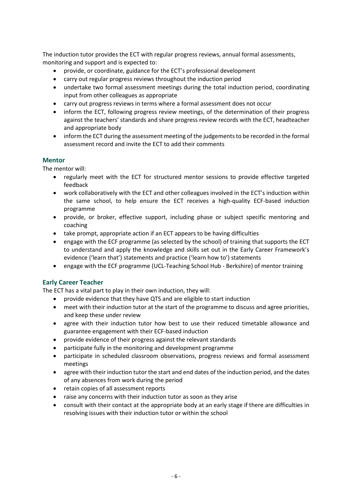The induction tutor provides the ECT with regular progress reviews, annual formal assessments, monitoring and support and is expected to:

- provide, or coordinate, guidance for the ECT's professional development
- carry out regular progress reviews throughout the induction period
- undertake two formal assessment meetings during the total induction period, coordinating input from other colleagues as appropriate
- carry out progress reviews in terms where a formal assessment does not occur
- inform the ECT, following progress review meetings, of the determination of their progress against the teachers' standards and share progress review records with the ECT, headteacher and appropriate body
- inform the ECT during the assessment meeting of the judgements to be recorded in the formal assessment record and invite the ECT to add their comments

## **Mentor**

The mentor will:

- regularly meet with the ECT for structured mentor sessions to provide effective targeted feedback
- work collaboratively with the ECT and other colleagues involved in the ECT's induction within the same school, to help ensure the ECT receives a high-quality ECF-based induction programme
- provide, or broker, effective support, including phase or subject specific mentoring and coaching
- take prompt, appropriate action if an ECT appears to be having difficulties
- engage with the ECF programme (as selected by the school) of training that supports the ECT to understand and apply the knowledge and skills set out in the Early Career Framework's evidence ('learn that') statements and practice ('learn how to') statements
- engage with the ECF programme (UCL-Teaching School Hub Berkshire) of mentor training

## **Early Career Teacher**

The ECT has a vital part to play in their own induction, they will:

- provide evidence that they have QTS and are eligible to start induction
- meet with their induction tutor at the start of the programme to discuss and agree priorities, and keep these under review
- agree with their induction tutor how best to use their reduced timetable allowance and guarantee engagement with their ECF-based induction
- provide evidence of their progress against the relevant standards
- participate fully in the monitoring and development programme
- participate in scheduled classroom observations, progress reviews and formal assessment meetings
- agree with their induction tutor the start and end dates of the induction period, and the dates of any absences from work during the period
- retain copies of all assessment reports
- raise any concerns with their induction tutor as soon as they arise
- consult with their contact at the appropriate body at an early stage if there are difficulties in resolving issues with their induction tutor or within the school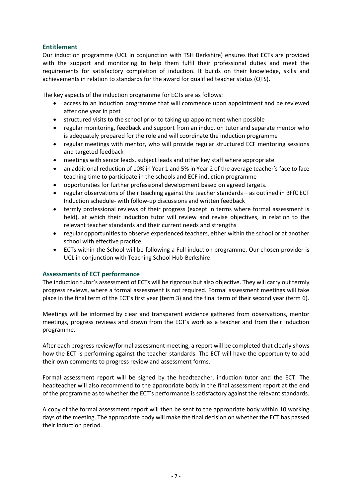# **Entitlement**

Our induction programme (UCL in conjunction with TSH Berkshire) ensures that ECTs are provided with the support and monitoring to help them fulfil their professional duties and meet the requirements for satisfactory completion of induction. It builds on their knowledge, skills and achievements in relation to standards for the award for qualified teacher status (QTS).

The key aspects of the induction programme for ECTs are as follows:

- access to an induction programme that will commence upon appointment and be reviewed after one year in post
- structured visits to the school prior to taking up appointment when possible
- regular monitoring, feedback and support from an induction tutor and separate mentor who is adequately prepared for the role and will coordinate the induction programme
- regular meetings with mentor, who will provide regular structured ECF mentoring sessions and targeted feedback
- meetings with senior leads, subject leads and other key staff where appropriate
- an additional reduction of 10% in Year 1 and 5% in Year 2 of the average teacher's face to face teaching time to participate in the schools and ECF induction programme
- opportunities for further professional development based on agreed targets.
- regular observations of their teaching against the teacher standards as outlined in BFfC ECT Induction schedule- with follow-up discussions and written feedback
- termly professional reviews of their progress (except in terms where formal assessment is held), at which their induction tutor will review and revise objectives, in relation to the relevant teacher standards and their current needs and strengths
- regular opportunities to observe experienced teachers, either within the school or at another school with effective practice
- ECTs within the School will be following a Full induction programme. Our chosen provider is UCL in conjunction with Teaching School Hub-Berkshire

## **Assessments of ECT performance**

The induction tutor's assessment of ECTs will be rigorous but also objective. They will carry out termly progress reviews, where a formal assessment is not required. Formal assessment meetings will take place in the final term of the ECT's first year (term 3) and the final term of their second year (term 6).

Meetings will be informed by clear and transparent evidence gathered from observations, mentor meetings, progress reviews and drawn from the ECT's work as a teacher and from their induction programme.

After each progress review/formal assessment meeting, a report will be completed that clearly shows how the ECT is performing against the teacher standards. The ECT will have the opportunity to add their own comments to progress review and assessment forms.

Formal assessment report will be signed by the headteacher, induction tutor and the ECT. The headteacher will also recommend to the appropriate body in the final assessment report at the end of the programme as to whether the ECT's performance is satisfactory against the relevant standards.

A copy of the formal assessment report will then be sent to the appropriate body within 10 working days of the meeting. The appropriate body will make the final decision on whether the ECT has passed their induction period.